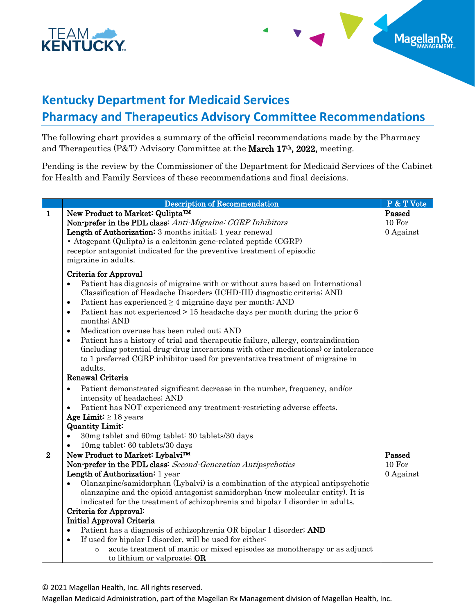

## **Kentucky Department for Medicaid Services Pharmacy and Therapeutics Advisory Committee Recommendations**

Magellan

The following chart provides a summary of the official recommendations made by the Pharmacy and Therapeutics (P&T) Advisory Committee at the March 17th, 2022, meeting.

Pending is the review by the Commissioner of the Department for Medicaid Services of the Cabinet for Health and Family Services of these recommendations and final decisions.

|                  | <b>Description of Recommendation</b>                                                                     | P & T Vote |
|------------------|----------------------------------------------------------------------------------------------------------|------------|
| $\mathbf{1}$     | New Product to Market: Qulipta™                                                                          | Passed     |
|                  | Non-prefer in the PDL class: Anti-Migraine: CGRP Inhibitors                                              | 10 For     |
|                  | Length of Authorization: 3 months initial; 1 year renewal                                                | 0 Against  |
|                  | • Atogepant (Qulipta) is a calcitonin gene-related peptide (CGRP)                                        |            |
|                  | receptor antagonist indicated for the preventive treatment of episodic                                   |            |
|                  | migraine in adults.                                                                                      |            |
|                  | Criteria for Approval                                                                                    |            |
|                  | Patient has diagnosis of migraine with or without aura based on International<br>$\bullet$               |            |
|                  | Classification of Headache Disorders (ICHD-III) diagnostic criteria; AND                                 |            |
|                  | Patient has experienced $\geq 4$ migraine days per month; AND<br>٠                                       |            |
|                  | Patient has not experienced > 15 headache days per month during the prior 6<br>$\bullet$                 |            |
|                  | months; AND                                                                                              |            |
|                  | Medication overuse has been ruled out; AND<br>$\bullet$                                                  |            |
|                  | Patient has a history of trial and therapeutic failure, allergy, contraindication<br>$\bullet$           |            |
|                  | (including potential drug-drug interactions with other medications) or intolerance                       |            |
|                  | to 1 preferred CGRP inhibitor used for preventative treatment of migraine in                             |            |
|                  | adults.                                                                                                  |            |
|                  | Renewal Criteria                                                                                         |            |
|                  | Patient demonstrated significant decrease in the number, frequency, and/or<br>$\bullet$                  |            |
|                  | intensity of headaches; AND                                                                              |            |
|                  | Patient has NOT experienced any treatment restricting adverse effects.<br>$\bullet$                      |            |
|                  | Age Limit: $\geq 18$ years                                                                               |            |
|                  | <b>Quantity Limit:</b>                                                                                   |            |
|                  | 30mg tablet and 60mg tablet: 30 tablets/30 days<br>$\bullet$                                             |            |
|                  | 10mg tablet: 60 tablets/30 days                                                                          |            |
| $\boldsymbol{2}$ | New Product to Market: Lybalvi™                                                                          | Passed     |
|                  | Non-prefer in the PDL class: Second-Generation Antipsychotics                                            | 10 For     |
|                  | Length of Authorization: 1 year                                                                          | 0 Against  |
|                  | Olanzapine/samidorphan (Lybalvi) is a combination of the atypical antipsychotic                          |            |
|                  | olanzapine and the opioid antagonist samidorphan (new molecular entity). It is                           |            |
|                  | indicated for the treatment of schizophrenia and bipolar I disorder in adults.<br>Criteria for Approval: |            |
|                  | <b>Initial Approval Criteria</b>                                                                         |            |
|                  | Patient has a diagnosis of schizophrenia OR bipolar I disorder; AND<br>$\bullet$                         |            |
|                  | If used for bipolar I disorder, will be used for either:<br>$\bullet$                                    |            |
|                  | acute treatment of manic or mixed episodes as monotherapy or as adjunct<br>$\circ$                       |            |
|                  | to lithium or valproate; OR                                                                              |            |
|                  |                                                                                                          |            |

© 2021 Magellan Health, Inc. All rights reserved.

Magellan Medicaid Administration, part of the Magellan Rx Management division of Magellan Health, Inc.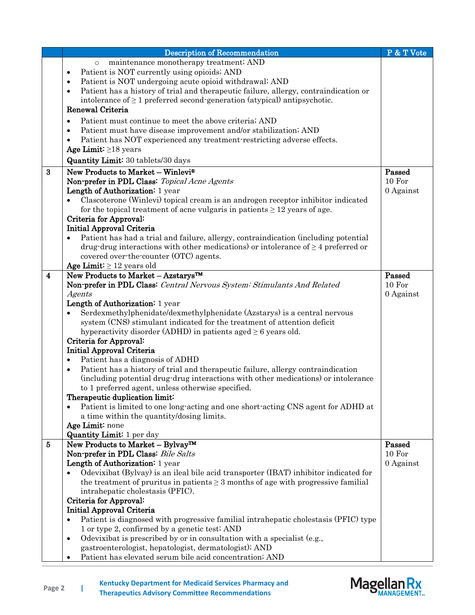|                    | <b>Description of Recommendation</b>                                                              | P & T Vote |
|--------------------|---------------------------------------------------------------------------------------------------|------------|
|                    | maintenance monotherapy treatment; AND<br>$\circ$                                                 |            |
|                    | Patient is NOT currently using opioids; AND<br>$\bullet$                                          |            |
|                    | Patient is NOT undergoing acute opioid withdrawal; AND<br>$\bullet$                               |            |
|                    | Patient has a history of trial and therapeutic failure, allergy, contraindication or<br>$\bullet$ |            |
|                    | intolerance of $\geq 1$ preferred second-generation (atypical) antipsychotic.                     |            |
|                    | Renewal Criteria                                                                                  |            |
|                    | Patient must continue to meet the above criteria; AND<br>$\bullet$                                |            |
|                    | Patient must have disease improvement and/or stabilization; AND<br>$\bullet$                      |            |
|                    | Patient has NOT experienced any treatment-restricting adverse effects.                            |            |
|                    | Age Limit: $\geq$ 18 years                                                                        |            |
|                    | <b>Quantity Limit:</b> 30 tablets/30 days                                                         |            |
| $\bf{3}$           | New Products to Market - Winlevi®                                                                 | Passed     |
|                    | Non-prefer in PDL Class: Topical Acne Agents                                                      | 10 For     |
|                    | Length of Authorization: 1 year                                                                   | 0 Against  |
|                    | Clascoterone (Winlevi) topical cream is an androgen receptor inhibitor indicated                  |            |
|                    | for the topical treatment of acne vulgaris in patients $\geq 12$ years of age.                    |            |
|                    | Criteria for Approval:                                                                            |            |
|                    | <b>Initial Approval Criteria</b>                                                                  |            |
|                    | Patient has had a trial and failure, allergy, contraindication (including potential               |            |
|                    | drug drug interactions with other medications) or intolerance of $\geq 4$ preferred or            |            |
|                    | covered over the counter (OTC) agents.                                                            |            |
|                    | Age Limit: $\geq 12$ years old                                                                    |            |
| $\overline{\bf 4}$ | New Products to Market - Azstarys™                                                                | Passed     |
|                    | Non-prefer in PDL Class: Central Nervous System: Stimulants And Related                           | 10 For     |
|                    | Agents                                                                                            | 0 Against  |
|                    | Length of Authorization: 1 year                                                                   |            |
|                    | Serdexmethylphenidate/dexmethylphenidate (Azstarys) is a central nervous                          |            |
|                    | system (CNS) stimulant indicated for the treatment of attention deficit                           |            |
|                    | hyperactivity disorder (ADHD) in patients aged $\geq 6$ years old.                                |            |
|                    | Criteria for Approval:                                                                            |            |
|                    | <b>Initial Approval Criteria</b>                                                                  |            |
|                    | Patient has a diagnosis of ADHD<br>$\bullet$                                                      |            |
|                    | Patient has a history of trial and therapeutic failure, allergy contraindication<br>$\bullet$     |            |
|                    | (including potential drug-drug interactions with other medications) or intolerance                |            |
|                    | to 1 preferred agent, unless otherwise specified.                                                 |            |
|                    | Therapeutic duplication limit:                                                                    |            |
|                    | Patient is limited to one long-acting and one short-acting CNS agent for ADHD at                  |            |
|                    | a time within the quantity/dosing limits.                                                         |            |
|                    | Age Limit: none                                                                                   |            |
|                    | <b>Quantity Limit:</b> 1 per day                                                                  |            |
| 5                  | New Products to Market - Bylvay™                                                                  | Passed     |
|                    | Non-prefer in PDL Class: Bile Salts                                                               | 10 For     |
|                    | Length of Authorization: 1 year                                                                   | 0 Against  |
|                    | Odevixibat (Bylvay) is an ileal bile acid transporter (IBAT) inhibitor indicated for              |            |
|                    | the treatment of pruritus in patients $\geq 3$ months of age with progressive familial            |            |
|                    | intrahepatic cholestasis (PFIC).                                                                  |            |
|                    | Criteria for Approval:                                                                            |            |
|                    | <b>Initial Approval Criteria</b>                                                                  |            |
|                    | Patient is diagnosed with progressive familial intrahepatic cholestasis (PFIC) type<br>$\bullet$  |            |
|                    | 1 or type 2, confirmed by a genetic test; AND                                                     |            |
|                    | Odevixibat is prescribed by or in consultation with a specialist (e.g.,<br>$\bullet$              |            |
|                    | gastroenterologist, hepatologist, dermatologist); AND                                             |            |
|                    | Patient has elevated serum bile acid concentration; AND<br>$\bullet$                              |            |

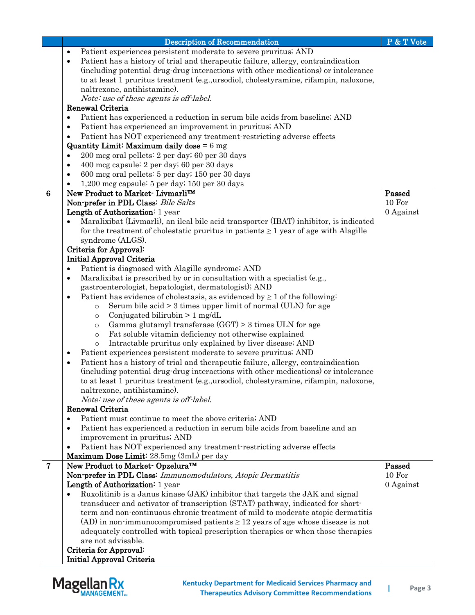|                | <b>Description of Recommendation</b>                                                                                                      | P & T Vote |
|----------------|-------------------------------------------------------------------------------------------------------------------------------------------|------------|
|                | Patient experiences persistent moderate to severe pruritus; AND<br>$\bullet$                                                              |            |
|                | Patient has a history of trial and therapeutic failure, allergy, contraindication<br>$\bullet$                                            |            |
|                | (including potential drug-drug interactions with other medications) or intolerance                                                        |            |
|                | to at least 1 pruritus treatment (e.g., ursodiol, cholestyramine, rifampin, naloxone,                                                     |            |
|                | naltrexone, antihistamine).                                                                                                               |            |
|                | Note: use of these agents is off-label.                                                                                                   |            |
|                | Renewal Criteria                                                                                                                          |            |
|                | Patient has experienced a reduction in serum bile acids from baseline; AND<br>$\bullet$                                                   |            |
|                | Patient has experienced an improvement in pruritus; AND<br>$\bullet$                                                                      |            |
|                | Patient has NOT experienced any treatment-restricting adverse effects<br>$\bullet$                                                        |            |
|                | Quantity Limit: Maximum daily dose $= 6$ mg                                                                                               |            |
|                | 200 mcg oral pellets: 2 per day; 60 per 30 days<br>$\bullet$                                                                              |            |
|                | 400 mcg capsule: 2 per day; 60 per 30 days<br>$\bullet$                                                                                   |            |
|                | 600 mcg oral pellets: 5 per day; 150 per 30 days<br>$\bullet$                                                                             |            |
|                | 1,200 mcg capsule: 5 per day; 150 per 30 days                                                                                             |            |
| 6              | New Product to Market- Livmarli™                                                                                                          | Passed     |
|                | Non-prefer in PDL Class: Bile Salts                                                                                                       | 10 For     |
|                | Length of Authorization: 1 year                                                                                                           | 0 Against  |
|                | Maralixibat (Livmarli), an ileal bile acid transporter (IBAT) inhibitor, is indicated                                                     |            |
|                | for the treatment of cholestatic pruritus in patients $\geq 1$ year of age with Alagille                                                  |            |
|                | syndrome (ALGS).                                                                                                                          |            |
|                | Criteria for Approval:                                                                                                                    |            |
|                | Initial Approval Criteria                                                                                                                 |            |
|                | Patient is diagnosed with Alagille syndrome; AND<br>٠                                                                                     |            |
|                | Maralixibat is prescribed by or in consultation with a specialist (e.g.,<br>$\bullet$                                                     |            |
|                | gastroenterologist, hepatologist, dermatologist); AND                                                                                     |            |
|                | Patient has evidence of cholestasis, as evidenced by $\geq 1$ of the following:<br>$\bullet$                                              |            |
|                | Serum bile acid $>$ 3 times upper limit of normal (ULN) for age<br>$\circ$                                                                |            |
|                | Conjugated bilirubin $> 1$ mg/dL<br>$\circ$                                                                                               |            |
|                | Gamma glutamyl transferase $(GGT) > 3$ times ULN for age<br>$\circ$                                                                       |            |
|                | Fat soluble vitamin deficiency not otherwise explained<br>$\circ$<br>Intractable pruritus only explained by liver disease; AND<br>$\circ$ |            |
|                | Patient experiences persistent moderate to severe pruritus; AND                                                                           |            |
|                | Patient has a history of trial and therapeutic failure, allergy, contraindication<br>$\bullet$                                            |            |
|                | (including potential drug-drug interactions with other medications) or intolerance                                                        |            |
|                | to at least 1 pruritus treatment (e.g., ursodiol, cholestyramine, rifampin, naloxone,                                                     |            |
|                | naltrexone, antihistamine).                                                                                                               |            |
|                | Note: use of these agents is off-label.                                                                                                   |            |
|                | Renewal Criteria                                                                                                                          |            |
|                | Patient must continue to meet the above criteria; AND<br>$\bullet$                                                                        |            |
|                | Patient has experienced a reduction in serum bile acids from baseline and an<br>٠                                                         |            |
|                | improvement in pruritus; AND                                                                                                              |            |
|                | Patient has NOT experienced any treatment restricting adverse effects                                                                     |            |
|                | Maximum Dose Limit: 28.5mg (3mL) per day                                                                                                  |            |
| $\overline{7}$ | New Product to Market <sup>-</sup> Opzelura <sup>™</sup>                                                                                  | Passed     |
|                | Non-prefer in PDL Class: Immunomodulators, Atopic Dermatitis                                                                              | 10 For     |
|                | Length of Authorization: 1 year                                                                                                           | 0 Against  |
|                | Ruxolitinib is a Janus kinase (JAK) inhibitor that targets the JAK and signal                                                             |            |
|                | transducer and activator of transcription (STAT) pathway, indicated for short-                                                            |            |
|                | term and non-continuous chronic treatment of mild to moderate atopic dermatitis                                                           |            |
|                | (AD) in non-immunocompromised patients $\geq$ 12 years of age whose disease is not                                                        |            |
|                | adequately controlled with topical prescription therapies or when those therapies                                                         |            |
|                | are not advisable.                                                                                                                        |            |
|                | Criteria for Approval:                                                                                                                    |            |
|                | Initial Approval Criteria                                                                                                                 |            |

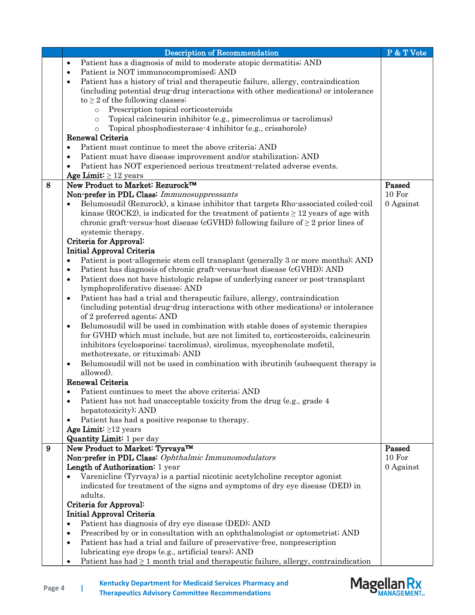|   | <b>Description of Recommendation</b>                                                                 | P & T Vote |
|---|------------------------------------------------------------------------------------------------------|------------|
|   | Patient has a diagnosis of mild to moderate atopic dermatitis; AND<br>$\bullet$                      |            |
|   | Patient is NOT immunocompromised; AND<br>$\bullet$                                                   |            |
|   | Patient has a history of trial and therapeutic failure, allergy, contraindication<br>$\bullet$       |            |
|   | (including potential drug-drug interactions with other medications) or intolerance                   |            |
|   | to $\geq$ 2 of the following classes:                                                                |            |
|   | Prescription topical corticosteroids<br>$\circ$                                                      |            |
|   | Topical calcineurin inhibitor (e.g., pimecrolimus or tacrolimus)<br>$\circ$                          |            |
|   | Topical phosphodiesterase 4 inhibitor (e.g., crisaborole)<br>$\circ$                                 |            |
|   | Renewal Criteria                                                                                     |            |
|   | Patient must continue to meet the above criteria; AND<br>$\bullet$                                   |            |
|   | Patient must have disease improvement and/or stabilization; AND<br>$\bullet$                         |            |
|   | Patient has NOT experienced serious treatment-related adverse events.<br>$\bullet$                   |            |
|   | Age Limit: $\geq 12$ years<br>New Product to Market: Rezurock™                                       | Passed     |
| 8 | Non-prefer in PDL Class: Immunosuppressants                                                          | 10 For     |
|   | Belumosudil (Rezurock), a kinase inhibitor that targets Rho-associated coiled-coil                   | 0 Against  |
|   | kinase (ROCK2), is indicated for the treatment of patients $\geq 12$ years of age with               |            |
|   | chronic graft-versus-host disease (cGVHD) following failure of $\geq 2$ prior lines of               |            |
|   | systemic therapy.                                                                                    |            |
|   | Criteria for Approval:                                                                               |            |
|   | <b>Initial Approval Criteria</b>                                                                     |            |
|   | Patient is post-allogeneic stem cell transplant (generally 3 or more months); AND<br>$\bullet$       |            |
|   | Patient has diagnosis of chronic graft-versus-host disease (cGVHD); AND<br>٠                         |            |
|   | Patient does not have histologic relapse of underlying cancer or post-transplant<br>$\bullet$        |            |
|   | lymphoproliferative disease; AND                                                                     |            |
|   | Patient has had a trial and therapeutic failure, allergy, contraindication<br>$\bullet$              |            |
|   | (including potential drug-drug interactions with other medications) or intolerance                   |            |
|   | of 2 preferred agents; AND                                                                           |            |
|   | Belumosudil will be used in combination with stable doses of systemic therapies<br>$\bullet$         |            |
|   | for GVHD which must include, but are not limited to, corticosteroids, calcineurin                    |            |
|   | inhibitors (cyclosporine; tacrolimus), sirolimus, mycophenolate mofetil,                             |            |
|   | methotrexate, or rituximab; AND                                                                      |            |
|   | Belumosudil will not be used in combination with ibrutinib (subsequent therapy is<br>$\bullet$       |            |
|   | allowed).                                                                                            |            |
|   | Renewal Criteria                                                                                     |            |
|   | Patient continues to meet the above criteria; AND<br>$\bullet$                                       |            |
|   | Patient has not had unacceptable toxicity from the drug (e.g., grade 4<br>٠                          |            |
|   | hepatotoxicity); AND                                                                                 |            |
|   | Patient has had a positive response to therapy.<br>$\bullet$                                         |            |
|   | Age Limit: $\geq$ 12 years<br>Quantity Limit: 1 per day                                              |            |
| 9 | New Product to Market: Tyrvaya™                                                                      | Passed     |
|   | Non-prefer in PDL Class: Ophthalmic Immunomodulators                                                 | 10 For     |
|   | Length of Authorization: 1 year                                                                      | 0 Against  |
|   | Varenicline (Tyrvaya) is a partial nicotinic acetylcholine receptor agonist                          |            |
|   | indicated for treatment of the signs and symptoms of dry eye disease (DED) in                        |            |
|   | adults.                                                                                              |            |
|   | Criteria for Approval:                                                                               |            |
|   | Initial Approval Criteria                                                                            |            |
|   | Patient has diagnosis of dry eye disease (DED); AND<br>٠                                             |            |
|   | Prescribed by or in consultation with an ophthalmologist or optometrist; AND<br>$\bullet$            |            |
|   | Patient has had a trial and failure of preservative-free, nonprescription<br>$\bullet$               |            |
|   | lubricating eye drops (e.g., artificial tears); AND                                                  |            |
|   | Patient has had $\geq 1$ month trial and therapeutic failure, allergy, contraindication<br>$\bullet$ |            |
|   |                                                                                                      |            |

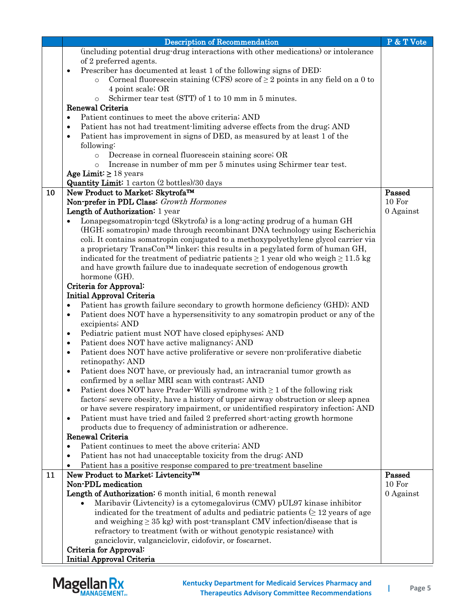|    | <b>Description of Recommendation</b>                                                                                                                 | P & T Vote |
|----|------------------------------------------------------------------------------------------------------------------------------------------------------|------------|
|    | (including potential drug-drug interactions with other medications) or intolerance                                                                   |            |
|    | of 2 preferred agents.                                                                                                                               |            |
|    | Prescriber has documented at least 1 of the following signs of DED:<br>$\bullet$                                                                     |            |
|    | Corneal fluorescein staining (CFS) score of $\geq 2$ points in any field on a 0 to<br>$\circ$                                                        |            |
|    | 4 point scale; OR                                                                                                                                    |            |
|    | Schirmer tear test (STT) of 1 to 10 mm in 5 minutes.<br>$\circ$                                                                                      |            |
|    | Renewal Criteria                                                                                                                                     |            |
|    | Patient continues to meet the above criteria; AND<br>$\bullet$                                                                                       |            |
|    | Patient has not had treatment-limiting adverse effects from the drug; AND<br>$\bullet$                                                               |            |
|    | Patient has improvement in signs of DED, as measured by at least 1 of the<br>$\bullet$                                                               |            |
|    | following:                                                                                                                                           |            |
|    | Decrease in corneal fluorescein staining score; OR<br>$\circ$                                                                                        |            |
|    | Increase in number of mm per 5 minutes using Schirmer tear test.<br>$\circ$                                                                          |            |
|    | Age Limit: $\geq 18$ years                                                                                                                           |            |
|    | <b>Quantity Limit:</b> 1 carton (2 bottles)/30 days                                                                                                  |            |
| 10 | New Product to Market: Skytrofa™                                                                                                                     | Passed     |
|    | Non-prefer in PDL Class: Growth Hormones                                                                                                             | 10 For     |
|    | Length of Authorization: 1 year                                                                                                                      | 0 Against  |
|    | Lonapegsomatropin-tcgd (Skytrofa) is a long-acting prodrug of a human GH                                                                             |            |
|    | (HGH; somatropin) made through recombinant DNA technology using Escherichia                                                                          |            |
|    | coli. It contains somatropin conjugated to a methoxypolyethylene glycol carrier via                                                                  |            |
|    | a proprietary TransCon™ linker; this results in a pegylated form of human GH,                                                                        |            |
|    | indicated for the treatment of pediatric patients $\geq 1$ year old who weigh $\geq 11.5$ kg                                                         |            |
|    | and have growth failure due to inadequate secretion of endogenous growth                                                                             |            |
|    | hormone (GH).                                                                                                                                        |            |
|    | Criteria for Approval:                                                                                                                               |            |
|    | Initial Approval Criteria                                                                                                                            |            |
|    | Patient has growth failure secondary to growth hormone deficiency (GHD); AND<br>$\bullet$                                                            |            |
|    | Patient does NOT have a hypersensitivity to any somatropin product or any of the<br>$\bullet$                                                        |            |
|    | excipients; AND                                                                                                                                      |            |
|    | Pediatric patient must NOT have closed epiphyses; AND<br>٠                                                                                           |            |
|    | Patient does NOT have active malignancy; AND<br>٠                                                                                                    |            |
|    | Patient does NOT have active proliferative or severe non-proliferative diabetic<br>$\bullet$                                                         |            |
|    | retinopathy; AND                                                                                                                                     |            |
|    | Patient does NOT have, or previously had, an intracranial tumor growth as<br>٠                                                                       |            |
|    | confirmed by a sellar MRI scan with contrast; AND                                                                                                    |            |
|    | Patient does NOT have Prader-Willi syndrome with $\geq 1$ of the following risk<br>$\bullet$                                                         |            |
|    | factors: severe obesity, have a history of upper airway obstruction or sleep apnea                                                                   |            |
|    | or have severe respiratory impairment, or unidentified respiratory infection; AND                                                                    |            |
|    | Patient must have tried and failed 2 preferred short-acting growth hormone<br>$\bullet$<br>products due to frequency of administration or adherence. |            |
|    | Renewal Criteria                                                                                                                                     |            |
|    | Patient continues to meet the above criteria; AND<br>$\bullet$                                                                                       |            |
|    | Patient has not had unacceptable toxicity from the drug; AND<br>$\bullet$                                                                            |            |
|    | $\bullet$                                                                                                                                            |            |
| 11 | Patient has a positive response compared to pre-treatment baseline<br>New Product to Market: Livtencity™                                             | Passed     |
|    | Non-PDL medication                                                                                                                                   | 10 For     |
|    | Length of Authorization: 6 month initial, 6 month renewal                                                                                            | 0 Against  |
|    | Maribavir (Livtencity) is a cytomegalovirus (CMV) pUL97 kinase inhibitor                                                                             |            |
|    | indicated for the treatment of adults and pediatric patients $( \geq 12 \text{ years of age})$                                                       |            |
|    | and weighing $\geq$ 35 kg) with post-transplant CMV infection/disease that is                                                                        |            |
|    | refractory to treatment (with or without genotypic resistance) with                                                                                  |            |
|    | ganciclovir, valganciclovir, cidofovir, or foscarnet.                                                                                                |            |
|    | Criteria for Approval:                                                                                                                               |            |
|    | <b>Initial Approval Criteria</b>                                                                                                                     |            |
|    |                                                                                                                                                      |            |

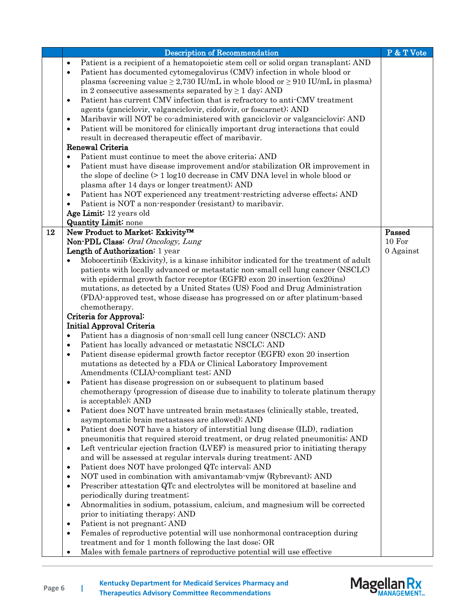|    | <b>Description of Recommendation</b>                                                                                                                          | P & T Vote |
|----|---------------------------------------------------------------------------------------------------------------------------------------------------------------|------------|
|    | Patient is a recipient of a hematopoietic stem cell or solid organ transplant; AND<br>$\bullet$                                                               |            |
|    | Patient has documented cytomegalovirus (CMV) infection in whole blood or<br>$\bullet$                                                                         |            |
|    | plasma (screening value $\geq$ 2,730 IU/mL in whole blood or $\geq$ 910 IU/mL in plasma)                                                                      |            |
|    | in 2 consecutive assessments separated by $\geq 1$ day; AND                                                                                                   |            |
|    | Patient has current CMV infection that is refractory to anti-CMV treatment<br>$\bullet$                                                                       |            |
|    | agents (ganciclovir, valganciclovir, cidofovir, or foscarnet); AND                                                                                            |            |
|    | Maribavir will NOT be co-administered with ganciclovir or valganciclovir; AND<br>$\bullet$                                                                    |            |
|    | Patient will be monitored for clinically important drug interactions that could<br>$\bullet$                                                                  |            |
|    | result in decreased therapeutic effect of maribavir.                                                                                                          |            |
|    | Renewal Criteria                                                                                                                                              |            |
|    | Patient must continue to meet the above criteria; AND<br>$\bullet$                                                                                            |            |
|    | Patient must have disease improvement and/or stabilization OR improvement in<br>$\bullet$                                                                     |            |
|    | the slope of decline (> 1 log10 decrease in CMV DNA level in whole blood or                                                                                   |            |
|    | plasma after 14 days or longer treatment); AND                                                                                                                |            |
|    | Patient has NOT experienced any treatment restricting adverse effects; AND<br>$\bullet$                                                                       |            |
|    | Patient is NOT a non-responder (resistant) to maribavir.<br>$\bullet$                                                                                         |            |
|    | Age Limit: 12 years old                                                                                                                                       |            |
|    | <b>Quantity Limit:</b> none                                                                                                                                   |            |
| 12 | New Product to Market: Exkivity <sup>TM</sup>                                                                                                                 | Passed     |
|    | Non-PDL Class: Oral Oncology, Lung                                                                                                                            | 10 For     |
|    | Length of Authorization: 1 year                                                                                                                               | 0 Against  |
|    | Mobocertinib (Exkivity), is a kinase inhibitor indicated for the treatment of adult                                                                           |            |
|    | patients with locally advanced or metastatic non-small cell lung cancer (NSCLC)                                                                               |            |
|    | with epidermal growth factor receptor (EGFR) exon 20 insertion (ex20ins)                                                                                      |            |
|    | mutations, as detected by a United States (US) Food and Drug Administration                                                                                   |            |
|    | (FDA)-approved test, whose disease has progressed on or after platinum-based                                                                                  |            |
|    | chemotherapy.                                                                                                                                                 |            |
|    | Criteria for Approval:                                                                                                                                        |            |
|    | Initial Approval Criteria                                                                                                                                     |            |
|    | Patient has a diagnosis of non-small cell lung cancer (NSCLC); AND<br>$\bullet$                                                                               |            |
|    | Patient has locally advanced or metastatic NSCLC; AND<br>$\bullet$                                                                                            |            |
|    | Patient disease epidermal growth factor receptor (EGFR) exon 20 insertion<br>$\bullet$                                                                        |            |
|    | mutations as detected by a FDA or Clinical Laboratory Improvement<br>Amendments (CLIA)-compliant test; AND                                                    |            |
|    |                                                                                                                                                               |            |
|    | Patient has disease progression on or subsequent to platinum based<br>٠<br>chemotherapy (progression of disease due to inability to tolerate platinum therapy |            |
|    | is acceptable); AND                                                                                                                                           |            |
|    | Patient does NOT have untreated brain metastases (clinically stable, treated,<br>$\bullet$                                                                    |            |
|    | asymptomatic brain metastases are allowed); AND                                                                                                               |            |
|    | Patient does NOT have a history of interstitial lung disease (ILD), radiation<br>$\bullet$                                                                    |            |
|    | pneumonitis that required steroid treatment, or drug related pneumonitis; AND                                                                                 |            |
|    | Left ventricular ejection fraction (LVEF) is measured prior to initiating therapy<br>$\bullet$                                                                |            |
|    | and will be assessed at regular intervals during treatment; AND                                                                                               |            |
|    | Patient does NOT have prolonged QTc interval; AND<br>$\bullet$                                                                                                |            |
|    | NOT used in combination with amivantamab-vmjw (Rybrevant); AND<br>٠                                                                                           |            |
|    | Prescriber attestation QTc and electrolytes will be monitored at baseline and<br>٠                                                                            |            |
|    | periodically during treatment;                                                                                                                                |            |
|    | Abnormalities in sodium, potassium, calcium, and magnesium will be corrected<br>$\bullet$                                                                     |            |
|    | prior to initiating therapy; AND                                                                                                                              |            |
|    | Patient is not pregnant; AND<br>$\bullet$                                                                                                                     |            |
|    | Females of reproductive potential will use nonhormonal contraception during<br>$\bullet$                                                                      |            |
|    | treatment and for 1 month following the last dose; OR                                                                                                         |            |
|    | Males with female partners of reproductive potential will use effective<br>$\bullet$                                                                          |            |



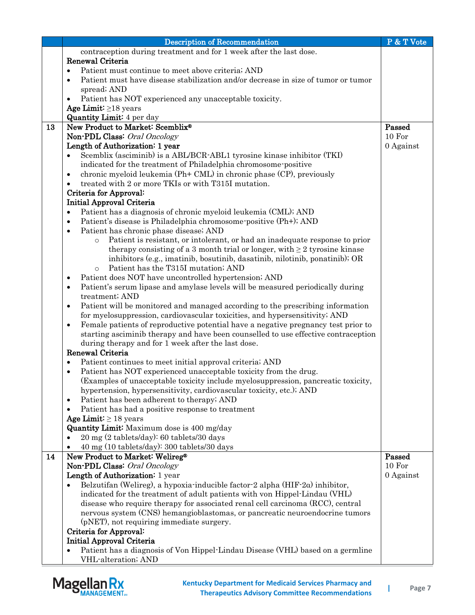|    | <b>Description of Recommendation</b>                                                           | P & T Vote |
|----|------------------------------------------------------------------------------------------------|------------|
|    | contraception during treatment and for 1 week after the last dose.                             |            |
|    | Renewal Criteria                                                                               |            |
|    | Patient must continue to meet above criteria; AND<br>$\bullet$                                 |            |
|    | Patient must have disease stabilization and/or decrease in size of tumor or tumor<br>$\bullet$ |            |
|    | spread; AND                                                                                    |            |
|    | Patient has NOT experienced any unacceptable toxicity.                                         |            |
|    | Age Limit: $\geq$ 18 years                                                                     |            |
|    | <b>Quantity Limit:</b> 4 per day                                                               |            |
| 13 | New Product to Market: Scemblix®                                                               | Passed     |
|    | Non-PDL Class: Oral Oncology                                                                   | 10 For     |
|    | Length of Authorization: 1 year                                                                | 0 Against  |
|    | Scemblix (asciminib) is a ABL/BCR-ABL1 tyrosine kinase inhibitor (TKI)                         |            |
|    | indicated for the treatment of Philadelphia chromosome-positive                                |            |
|    | chronic myeloid leukemia (Ph+ CML) in chronic phase (CP), previously<br>$\bullet$              |            |
|    | treated with 2 or more TKIs or with T315I mutation.                                            |            |
|    | Criteria for Approval:                                                                         |            |
|    | <b>Initial Approval Criteria</b>                                                               |            |
|    | Patient has a diagnosis of chronic myeloid leukemia (CML); AND                                 |            |
|    | $\bullet$                                                                                      |            |
|    | Patient's disease is Philadelphia chromosome-positive (Ph+); AND<br>$\bullet$                  |            |
|    | Patient has chronic phase disease; AND<br>$\bullet$                                            |            |
|    | Patient is resistant, or intolerant, or had an inadequate response to prior<br>$\circ$         |            |
|    | therapy consisting of a 3 month trial or longer, with $\geq 2$ tyrosine kinase                 |            |
|    | inhibitors (e.g., imatinib, bosutinib, dasatinib, nilotinib, ponatinib); OR                    |            |
|    | Patient has the T315I mutation; AND<br>$\circ$                                                 |            |
|    | Patient does NOT have uncontrolled hypertension; AND<br>$\bullet$                              |            |
|    | Patient's serum lipase and amylase levels will be measured periodically during<br>$\bullet$    |            |
|    | treatment; AND                                                                                 |            |
|    | Patient will be monitored and managed according to the prescribing information<br>$\bullet$    |            |
|    | for myelosuppression, cardiovascular toxicities, and hypersensitivity; AND                     |            |
|    | Female patients of reproductive potential have a negative pregnancy test prior to<br>$\bullet$ |            |
|    | starting asciminib therapy and have been counselled to use effective contraception             |            |
|    | during therapy and for 1 week after the last dose.                                             |            |
|    | Renewal Criteria                                                                               |            |
|    | Patient continues to meet initial approval criteria; AND<br>$\bullet$                          |            |
|    | Patient has NOT experienced unacceptable toxicity from the drug.<br>$\bullet$                  |            |
|    | (Examples of unacceptable toxicity include myelosuppression, pancreatic toxicity,              |            |
|    | hypertension, hypersensitivity, cardiovascular toxicity, etc.); AND                            |            |
|    | Patient has been adherent to therapy; AND<br>$\bullet$                                         |            |
|    | Patient has had a positive response to treatment<br>$\bullet$                                  |            |
|    | Age Limit: $\geq 18$ years                                                                     |            |
|    | <b>Quantity Limit:</b> Maximum dose is 400 mg/day                                              |            |
|    | 20 mg (2 tablets/day): 60 tablets/30 days                                                      |            |
|    | 40 mg (10 tablets/day): 300 tablets/30 days                                                    |            |
| 14 | New Product to Market: Welireg®                                                                | Passed     |
|    | Non-PDL Class: Oral Oncology                                                                   | 10 For     |
|    | Length of Authorization: 1 year                                                                | 0 Against  |
|    | Belzutifan (Welireg), a hypoxia-inducible factor-2 alpha (HIF-2 $\alpha$ ) inhibitor,          |            |
|    | indicated for the treatment of adult patients with von Hippel-Lindau (VHL)                     |            |
|    | disease who require therapy for associated renal cell carcinoma (RCC), central                 |            |
|    | nervous system (CNS) hemangioblastomas, or pancreatic neuroendocrine tumors                    |            |
|    | (pNET), not requiring immediate surgery.                                                       |            |
|    | Criteria for Approval:                                                                         |            |
|    | <b>Initial Approval Criteria</b>                                                               |            |
|    | Patient has a diagnosis of Von Hippel-Lindau Disease (VHL) based on a germline                 |            |
|    | VHL-alteration; AND                                                                            |            |

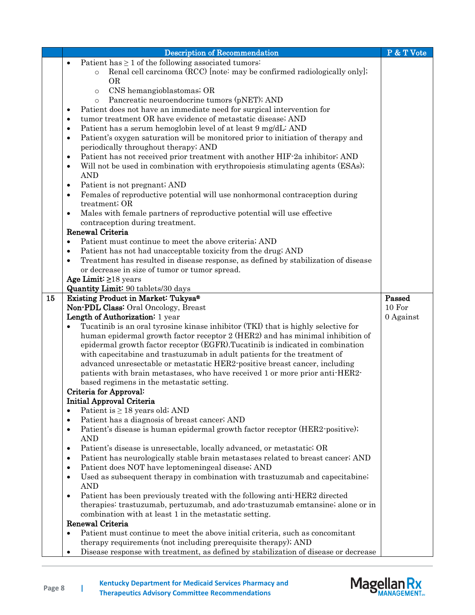|    | <b>Description of Recommendation</b>                                                                                                  | P & T Vote       |
|----|---------------------------------------------------------------------------------------------------------------------------------------|------------------|
|    | Patient has $\geq 1$ of the following associated tumors:<br>$\bullet$                                                                 |                  |
|    | Renal cell carcinoma (RCC) [note: may be confirmed radiologically only];<br>$\circ$                                                   |                  |
|    | <b>OR</b>                                                                                                                             |                  |
|    | CNS hemangioblastomas; OR<br>$\circ$                                                                                                  |                  |
|    | Pancreatic neuroendocrine tumors (pNET); AND<br>$\circ$                                                                               |                  |
|    | Patient does not have an immediate need for surgical intervention for<br>$\bullet$                                                    |                  |
|    | tumor treatment OR have evidence of metastatic disease; AND<br>$\bullet$                                                              |                  |
|    | Patient has a serum hemoglobin level of at least 9 mg/dL: AND<br>$\bullet$                                                            |                  |
|    | Patient's oxygen saturation will be monitored prior to initiation of therapy and<br>$\bullet$<br>periodically throughout therapy; AND |                  |
|    | Patient has not received prior treatment with another HIF-2a inhibitor; AND<br>$\bullet$                                              |                  |
|    | Will not be used in combination with erythropoies is stimulating agents (ESAs);<br>$\bullet$                                          |                  |
|    | <b>AND</b>                                                                                                                            |                  |
|    | Patient is not pregnant; AND<br>٠                                                                                                     |                  |
|    | Females of reproductive potential will use nonhormonal contraception during<br>$\bullet$                                              |                  |
|    | treatment; OR                                                                                                                         |                  |
|    | Males with female partners of reproductive potential will use effective<br>$\bullet$                                                  |                  |
|    | contraception during treatment.                                                                                                       |                  |
|    | Renewal Criteria                                                                                                                      |                  |
|    | Patient must continue to meet the above criteria; AND<br>$\bullet$                                                                    |                  |
|    | Patient has not had unacceptable toxicity from the drug; AND<br>$\bullet$                                                             |                  |
|    | Treatment has resulted in disease response, as defined by stabilization of disease<br>$\bullet$                                       |                  |
|    | or decrease in size of tumor or tumor spread.                                                                                         |                  |
|    | Age Limit: $\geq$ 18 years                                                                                                            |                  |
|    | Quantity Limit: 90 tablets/30 days                                                                                                    |                  |
| 15 | Existing Product in Market: Tukysa®                                                                                                   | Passed<br>10 For |
|    | Non-PDL Class: Oral Oncology, Breast<br>Length of Authorization: 1 year                                                               | 0 Against        |
|    | Tucatinib is an oral tyrosine kinase inhibitor (TKI) that is highly selective for                                                     |                  |
|    | human epidermal growth factor receptor 2 (HER2) and has minimal inhibition of                                                         |                  |
|    | epidermal growth factor receptor (EGFR). Tucatinib is indicated in combination                                                        |                  |
|    | with capecitabine and trastuzumab in adult patients for the treatment of                                                              |                  |
|    | advanced unresectable or metastatic HER2-positive breast cancer, including                                                            |                  |
|    | patients with brain metastases, who have received 1 or more prior anti-HER2-                                                          |                  |
|    | based regimens in the metastatic setting.                                                                                             |                  |
|    | Criteria for Approval:                                                                                                                |                  |
|    | <b>Initial Approval Criteria</b>                                                                                                      |                  |
|    | Patient is $\geq 18$ years old; AND<br>٠                                                                                              |                  |
|    | Patient has a diagnosis of breast cancer; AND<br>$\bullet$                                                                            |                  |
|    | Patient's disease is human epidermal growth factor receptor (HER2-positive);<br>٠<br><b>AND</b>                                       |                  |
|    | Patient's disease is unresectable, locally advanced, or metastatic; OR<br>$\bullet$                                                   |                  |
|    | Patient has neurologically stable brain metastases related to breast cancer; AND<br>٠                                                 |                  |
|    | Patient does NOT have leptomeningeal disease; AND<br>$\bullet$                                                                        |                  |
|    | Used as subsequent therapy in combination with trastuzumab and capecitabine;<br>$\bullet$                                             |                  |
|    | <b>AND</b>                                                                                                                            |                  |
|    | Patient has been previously treated with the following anti-HER2 directed<br>$\bullet$                                                |                  |
|    | therapies: trastuzumab, pertuzumab, and ado-trastuzumab emtansine; alone or in                                                        |                  |
|    | combination with at least 1 in the metastatic setting.                                                                                |                  |
|    | Renewal Criteria                                                                                                                      |                  |
|    | Patient must continue to meet the above initial criteria, such as concomitant<br>$\bullet$                                            |                  |
|    | therapy requirements (not including prerequisite therapy); AND                                                                        |                  |
|    | Disease response with treatment, as defined by stabilization of disease or decrease<br>$\bullet$                                      |                  |



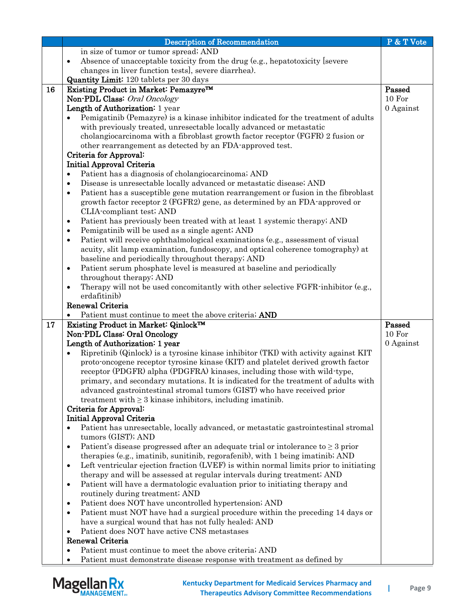|    | <b>Description of Recommendation</b>                                                                                                                                          | P & T Vote |
|----|-------------------------------------------------------------------------------------------------------------------------------------------------------------------------------|------------|
|    | in size of tumor or tumor spread; AND                                                                                                                                         |            |
|    | Absence of unacceptable toxicity from the drug (e.g., hepatotoxicity [severe]<br>$\bullet$                                                                                    |            |
|    | changes in liver function tests], severe diarrhea).                                                                                                                           |            |
|    | <b>Quantity Limit:</b> 120 tablets per 30 days                                                                                                                                |            |
| 16 | Existing Product in Market: Pemazyre™                                                                                                                                         | Passed     |
|    | Non-PDL Class: Oral Oncology                                                                                                                                                  | 10 For     |
|    | Length of Authorization: 1 year                                                                                                                                               | 0 Against  |
|    | Pemigatinib (Pemazyre) is a kinase inhibitor indicated for the treatment of adults                                                                                            |            |
|    | with previously treated, unresectable locally advanced or metastatic                                                                                                          |            |
|    | cholangiocarcinoma with a fibroblast growth factor receptor (FGFR) 2 fusion or                                                                                                |            |
|    | other rearrangement as detected by an FDA-approved test.                                                                                                                      |            |
|    | Criteria for Approval:<br><b>Initial Approval Criteria</b>                                                                                                                    |            |
|    | Patient has a diagnosis of cholangiocarcinoma; AND<br>$\bullet$                                                                                                               |            |
|    | Disease is unresectable locally advanced or metastatic disease; AND<br>$\bullet$                                                                                              |            |
|    | Patient has a susceptible gene mutation rearrangement or fusion in the fibroblast<br>$\bullet$                                                                                |            |
|    | growth factor receptor 2 (FGFR2) gene, as determined by an FDA-approved or                                                                                                    |            |
|    | CLIA-compliant test; AND                                                                                                                                                      |            |
|    | Patient has previously been treated with at least 1 systemic therapy; AND<br>٠                                                                                                |            |
|    | Pemigatinib will be used as a single agent; AND<br>٠                                                                                                                          |            |
|    | Patient will receive ophthalmological examinations (e.g., assessment of visual<br>$\bullet$                                                                                   |            |
|    | acuity, slit lamp examination, fundoscopy, and optical coherence tomography) at                                                                                               |            |
|    | baseline and periodically throughout therapy; AND                                                                                                                             |            |
|    | Patient serum phosphate level is measured at baseline and periodically<br>$\bullet$                                                                                           |            |
|    | throughout therapy; AND                                                                                                                                                       |            |
|    | Therapy will not be used concomitantly with other selective FGFR inhibitor (e.g.,<br>$\bullet$                                                                                |            |
|    | erdafitinib)                                                                                                                                                                  |            |
|    | Renewal Criteria                                                                                                                                                              |            |
|    | Patient must continue to meet the above criteria; AND                                                                                                                         | Passed     |
| 17 | Existing Product in Market: Qinlock™<br>Non-PDL Class: Oral Oncology                                                                                                          | 10 For     |
|    | Length of Authorization: 1 year                                                                                                                                               | 0 Against  |
|    | Ripretinib (Qinlock) is a tyrosine kinase inhibitor (TKI) with activity against KIT                                                                                           |            |
|    | proto-oncogene receptor tyrosine kinase (KIT) and platelet derived growth factor                                                                                              |            |
|    | receptor (PDGFR) alpha (PDGFRA) kinases, including those with wild type,                                                                                                      |            |
|    | primary, and secondary mutations. It is indicated for the treatment of adults with                                                                                            |            |
|    | advanced gastrointestinal stromal tumors (GIST) who have received prior                                                                                                       |            |
|    | treatment with $\geq$ 3 kinase inhibitors, including imatinib.                                                                                                                |            |
|    | Criteria for Approval:                                                                                                                                                        |            |
|    | <b>Initial Approval Criteria</b>                                                                                                                                              |            |
|    | Patient has unresectable, locally advanced, or metastatic gastrointestinal stromal                                                                                            |            |
|    | tumors (GIST); AND                                                                                                                                                            |            |
|    | Patient's disease progressed after an adequate trial or intolerance to $\geq$ 3 prior<br>$\bullet$                                                                            |            |
|    | therapies (e.g., imatinib, sunitinib, regorafient), with 1 being imatinib; AND                                                                                                |            |
|    | Left ventricular ejection fraction (LVEF) is within normal limits prior to initiating<br>$\bullet$<br>therapy and will be assessed at regular intervals during treatment; AND |            |
|    | Patient will have a dermatologic evaluation prior to initiating therapy and<br>٠                                                                                              |            |
|    | routinely during treatment; AND                                                                                                                                               |            |
|    | Patient does NOT have uncontrolled hypertension; AND<br>$\bullet$                                                                                                             |            |
|    | Patient must NOT have had a surgical procedure within the preceding 14 days or<br>$\bullet$                                                                                   |            |
|    | have a surgical wound that has not fully healed; AND                                                                                                                          |            |
|    | Patient does NOT have active CNS metastases<br>$\bullet$                                                                                                                      |            |
|    | Renewal Criteria                                                                                                                                                              |            |
|    | Patient must continue to meet the above criteria; AND                                                                                                                         |            |
|    | Patient must demonstrate disease response with treatment as defined by                                                                                                        |            |

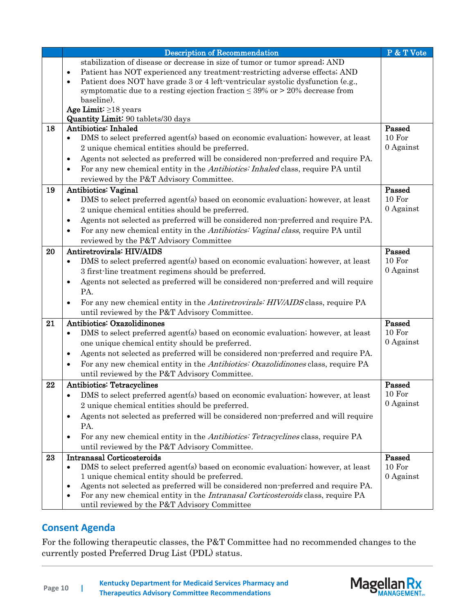|    | <b>Description of Recommendation</b>                                                                 | P & T Vote |
|----|------------------------------------------------------------------------------------------------------|------------|
|    | stabilization of disease or decrease in size of tumor or tumor spread; AND                           |            |
|    | Patient has NOT experienced any treatment restricting adverse effects; AND<br>$\bullet$              |            |
|    | Patient does NOT have grade 3 or 4 left-ventricular systolic dysfunction (e.g.,<br>$\bullet$         |            |
|    | symptomatic due to a resting ejection fraction $\leq 39\%$ or $> 20\%$ decrease from                 |            |
|    | baseline).                                                                                           |            |
|    | Age Limit: $\geq$ 18 years                                                                           |            |
| 18 | <b>Quantity Limit:</b> 90 tablets/30 days<br>Antibiotics: Inhaled                                    | Passed     |
|    | DMS to select preferred agent(s) based on economic evaluation; however, at least<br>$\bullet$        | 10 For     |
|    | 2 unique chemical entities should be preferred.                                                      | 0 Against  |
|    |                                                                                                      |            |
|    | Agents not selected as preferred will be considered non-preferred and require PA.<br>$\bullet$       |            |
|    | For any new chemical entity in the Antibiotics: Inhaled class, require PA until<br>$\bullet$         |            |
|    | reviewed by the P&T Advisory Committee.                                                              |            |
| 19 | Antibiotics: Vaginal                                                                                 | Passed     |
|    | DMS to select preferred agent(s) based on economic evaluation; however, at least<br>$\bullet$        | 10 For     |
|    | 2 unique chemical entities should be preferred.                                                      | 0 Against  |
|    | Agents not selected as preferred will be considered non-preferred and require PA.<br>$\bullet$       |            |
|    | For any new chemical entity in the <i>Antibiotics: Vaginal class</i> , require PA until<br>$\bullet$ |            |
|    | reviewed by the P&T Advisory Committee                                                               |            |
| 20 | Antiretrovirals: HIV/AIDS                                                                            | Passed     |
|    | DMS to select preferred agent(s) based on economic evaluation; however, at least<br>$\bullet$        | 10 For     |
|    | 3 first-line treatment regimens should be preferred.                                                 | 0 Against  |
|    | Agents not selected as preferred will be considered non-preferred and will require<br>$\bullet$      |            |
|    | PA.                                                                                                  |            |
|    | For any new chemical entity in the Antiretrovirals: HIV/AIDS class, require PA<br>$\bullet$          |            |
|    | until reviewed by the P&T Advisory Committee.                                                        |            |
| 21 | <b>Antibiotics: Oxazolidinones</b>                                                                   | Passed     |
|    | DMS to select preferred agent(s) based on economic evaluation; however, at least<br>$\bullet$        | 10 For     |
|    | one unique chemical entity should be preferred.                                                      | 0 Against  |
|    | Agents not selected as preferred will be considered non-preferred and require PA.<br>$\bullet$       |            |
|    | For any new chemical entity in the Antibiotics: Oxazolidinones class, require PA<br>$\bullet$        |            |
|    | until reviewed by the P&T Advisory Committee.                                                        |            |
| 22 | <b>Antibiotics: Tetracyclines</b>                                                                    | Passed     |
|    | DMS to select preferred agent(s) based on economic evaluation; however, at least<br>٠                | 10 For     |
|    | 2 unique chemical entities should be preferred.                                                      | 0 Against  |
|    | Agents not selected as preferred will be considered non-preferred and will require<br>$\bullet$      |            |
|    | PA.                                                                                                  |            |
|    | For any new chemical entity in the <i>Antibiotics: Tetracyclines</i> class, require PA<br>$\bullet$  |            |
|    | until reviewed by the P&T Advisory Committee.                                                        |            |
| 23 | <b>Intranasal Corticosteroids</b>                                                                    | Passed     |
|    | DMS to select preferred agent(s) based on economic evaluation; however, at least<br>$\bullet$        | 10 For     |
|    | 1 unique chemical entity should be preferred.                                                        | 0 Against  |
|    | Agents not selected as preferred will be considered non-preferred and require PA.<br>$\bullet$       |            |
|    | For any new chemical entity in the <i>Intranasal Corticosteroids</i> class, require PA<br>$\bullet$  |            |
|    | until reviewed by the P&T Advisory Committee                                                         |            |

## **Consent Agenda**

For the following therapeutic classes, the P&T Committee had no recommended changes to the currently posted Preferred Drug List (PDL) status.